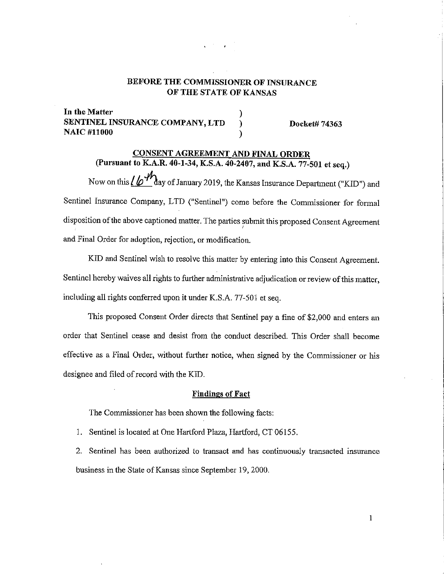## BEFORE THE COMMISSIONER OF INSURANCE OF THE STATE OF KANSAS

) ) )

In the Matter SENTINEL INSURANCE COMPANY, LTD **NAIC #11000** 

Docket# 74363

# CONSENT AGREEMENT AND FINAL ORDER

(Pursuant to K.A.R. 40-1-34, K.S.A. 40-2407, and K.S.A. 77-501 et seq.) Now on this  $/$   $/$   $\mathcal{M}_\text{day}$  of January 2019, the Kansas Insurance Department ("KID") and Sentinel Insurance Company, LTD ("Sentinel") come before the Commissioner for formal disposition of the above captioned matter. The parties submit this proposed Consent Agreement and Final Order for adoption, rejection, or modification.

KID and Sentinel wish to resolve this matter by entering into this Consent Agreement. Sentinel hereby waives all rights to further administrative adjudication or review of this matter, including all rights conferred upon **it** under K.S.A. 77-501 et seq.

This proposed Consent Order directs that Sentinel pay a fine of \$2,000 and enters an order that Sentinel cease and desist from the conduct described. This Order shall become effective as a Final Order, without further notice, when signed by the Commissioner or his designee and filed of record with the KID.

#### **Findings of Fact**

The Commissioner has been shown the following facts:

1. Sentinel is located at One Hartford Plaza, Hartford, CT 06155.

2. Sentinel has been authorized to transact and has continuously transacted insurance business in the State of Kansas since September 19, 2000.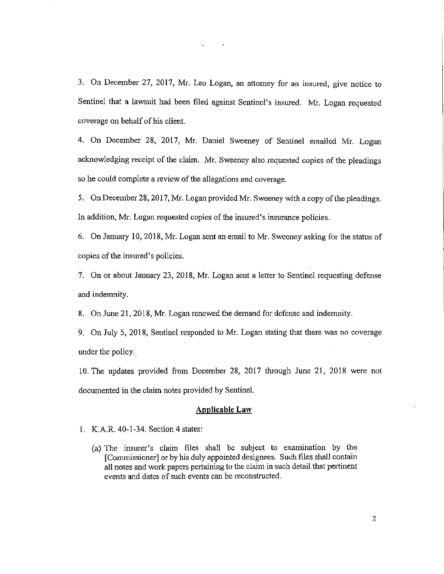3. On December 27, 2017, Mr. Leo Logan, an attorney for an insured, give notice to Sentinel that a lawsuit had been filed against Sentinel's insured. Mr. Logan requested coverage on behalf of his client.

4. On December 28, 2017, Mr. Daniel Sweeney of Sentinel emailed Mr. Logan acknowledging receipt of the claim. Mr. Sweeney also requested copies of the pleadings so he could complete a review of the allegations and coverage.

5. On December 28, 2017, Mr. Logan provided Mr. Sweeney with a copy of the pleadings. In addition, Mr. Logan requested copies of the insured's insurance policies.

6. On January 10, 2018, Mr. Logan sent an email to Mr. Sweeney asking for the status of copies of the insured's policies.

7. On or about January 23, 2018, Mr. Logan sent a letter to Sentinel requesting defense and indemnity.

8. On June 21, 2018, Mr. Logan renewed the demand for defense and indemnity.

9. On July 5, 2018, Sentinel responded to Mr. Logan stating that there was no coverage under the policy.

10. The updates provided from December 28, 2017 through June 21, 2018 were not documented in the claim notes provided by Sentinel.

#### **Applicable Law**

- 1. K.A.R. 40-1 -34. Section 4 states:
	- (a) The insurer's claim files shall be subject to examination by . the [Commissioner] or by his duly appointed designees. Such files shall contain all notes and work papers pertaining to the claim in such detail that pertinent events and dates of such events can be reconstructed.

2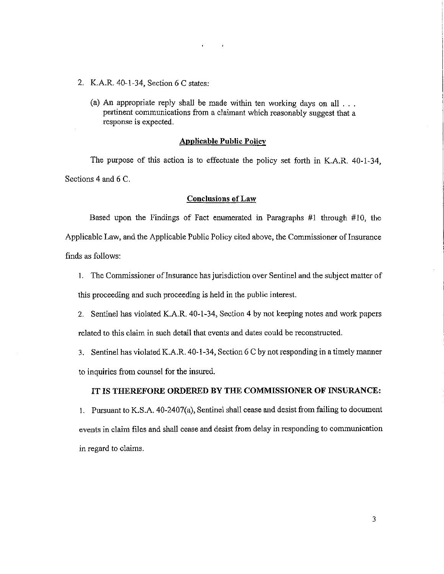- 2. K.A.R. 40-1-34, Section 6 C states:
	- (a) An appropriate reply shall be made within ten working days on all  $\ldots$ pertinent communications from a claimant which reasonably suggest that a response is expected.

### **Applicable Public Policy**

The purpose of this action is to effectuate the policy set forth in K.A.R. 40-1-34, Sections 4 and 6 C.

#### **Conclusions of Law**

Based upon the Findings of Fact enumerated in Paragraphs #1 through #10, the Applicable Law, and the Applicable Public Policy cited above, the Commissioner of Insurance finds as follows:

I. The Commissioner of Insurance has jurisdiction over Sentinel and the subject matter of this proceeding and such proceeding is held in the public interest.

2. Sentinel has violated K.A.R. 40-1-34, Section 4 by not keeping notes and work papers related to this claim in such detail that events and dates could be reconstructed.

3. Sentinel has violated K.A.R. 40-1-34, Section 6 C by not responding in a timely manner to inquiries from counsel for the insured.

#### **IT IS THEREFORE ORDERED BY THE COMMISSIONER OF INSURANCE:**

I. Pursuant to K.S.A. 40-2407(a), Sentinel shall cease and desist from failing to document events in claim files and shall cease and desist from delay in responding to communication in regard to claims.